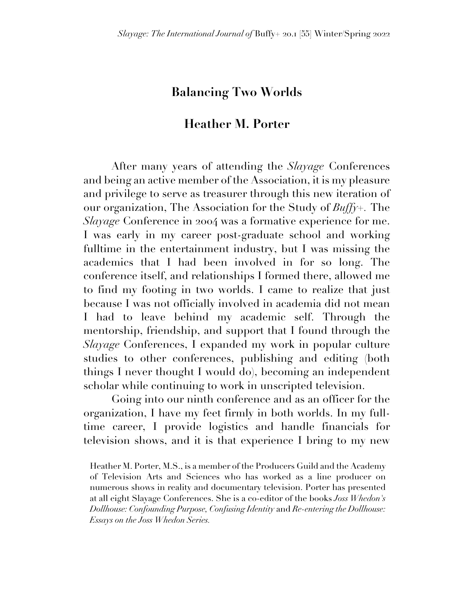## **Balancing Two Worlds**

## **Heather M. Porter**

After many years of attending the *Slayage* Conferences and being an active member of the Association, it is my pleasure and privilege to serve as treasurer through this new iteration of our organization, The Association for the Study of *Buffy+.* The *Slayage* Conference in 2004 was a formative experience for me. I was early in my career post-graduate school and working fulltime in the entertainment industry, but I was missing the academics that I had been involved in for so long. The conference itself, and relationships I formed there, allowed me to find my footing in two worlds. I came to realize that just because I was not officially involved in academia did not mean I had to leave behind my academic self. Through the mentorship, friendship, and support that I found through the *Slayage* Conferences, I expanded my work in popular culture studies to other conferences, publishing and editing (both things I never thought I would do), becoming an independent scholar while continuing to work in unscripted television.

Going into our ninth conference and as an officer for the organization, I have my feet firmly in both worlds. In my fulltime career, I provide logistics and handle financials for television shows, and it is that experience I bring to my new

Heather M. Porter, M.S., is a member of the Producers Guild and the Academy of Television Arts and Sciences who has worked as a line producer on numerous shows in reality and documentary television. Porter has presented at all eight Slayage Conferences. She is a co-editor of the books *Joss Whedon's Dollhouse: Confounding Purpose, Confusing Identity* and *Re-entering the Dollhouse: Essays on the Joss Whedon Series.*